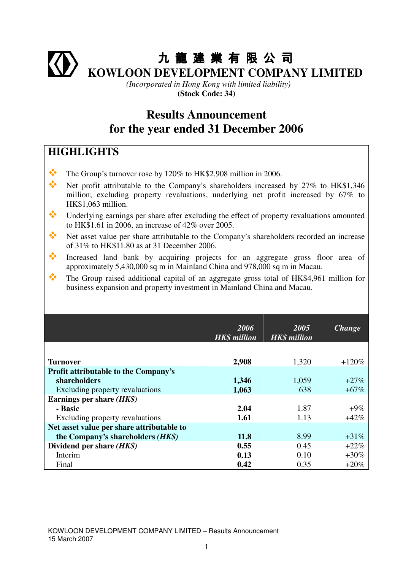# 九 龍 建 業 有 限 公 司 **KOWLOON DEVELOPMENT COMPANY LIMITED**

*(Incorporated in Hong Kong with limited liability)*  **(Stock Code: 34)** 

## **Results Announcement for the year ended 31 December 2006**

## **HIGHLIGHTS**

- The Group's turnover rose by 120% to HK\$2,908 million in 2006.
- Net profit attributable to the Company's shareholders increased by 27% to HK\$1,346 million; excluding property revaluations, underlying net profit increased by 67% to HK\$1,063 million.
- Underlying earnings per share after excluding the effect of property revaluations amounted to HK\$1.61 in 2006, an increase of 42% over 2005.
- Net asset value per share attributable to the Company's shareholders recorded an increase of 31% to HK\$11.80 as at 31 December 2006.
- Increased land bank by acquiring projects for an aggregate gross floor area of approximately 5,430,000 sq m in Mainland China and 978,000 sq m in Macau.
- The Group raised additional capital of an aggregate gross total of HK\$4,961 million for business expansion and property investment in Mainland China and Macau.

|                                             | 2006<br><b>HK\$</b> million | 2005<br><b>HK\$</b> million | <b>Change</b> |
|---------------------------------------------|-----------------------------|-----------------------------|---------------|
|                                             |                             |                             |               |
| Turnover                                    | 2,908                       | 1,320                       | $+120%$       |
| <b>Profit attributable to the Company's</b> |                             |                             |               |
| shareholders                                | 1,346                       | 1,059                       | $+27\%$       |
| Excluding property revaluations             | 1,063                       | 638                         | $+67%$        |
| Earnings per share $(HK\$ )                 |                             |                             |               |
| - Basic                                     | 2.04                        | 1.87                        | $+9\%$        |
| Excluding property revaluations             | 1.61                        | 1.13                        | $+42%$        |
| Net asset value per share attributable to   |                             |                             |               |
| the Company's shareholders (HK\$)           | 11.8                        | 8.99                        | $+31\%$       |
| Dividend per share $(HK\$ )                 | 0.55                        | 0.45                        | $+22%$        |
| Interim                                     | 0.13                        | 0.10                        | $+30\%$       |
| Final                                       | 0.42                        | 0.35                        | $+20\%$       |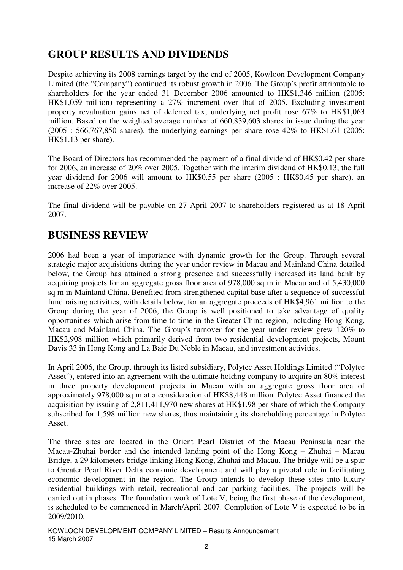## **GROUP RESULTS AND DIVIDENDS**

Despite achieving its 2008 earnings target by the end of 2005, Kowloon Development Company Limited (the "Company") continued its robust growth in 2006. The Group's profit attributable to shareholders for the year ended 31 December 2006 amounted to HK\$1,346 million (2005: HK\$1,059 million) representing a 27% increment over that of 2005. Excluding investment property revaluation gains net of deferred tax, underlying net profit rose 67% to HK\$1,063 million. Based on the weighted average number of 660,839,603 shares in issue during the year  $(2005 : 566,767,850$  shares), the underlying earnings per share rose 42\% to HK\$1.61 (2005: HK\$1.13 per share).

The Board of Directors has recommended the payment of a final dividend of HK\$0.42 per share for 2006, an increase of 20% over 2005. Together with the interim dividend of HK\$0.13, the full year dividend for 2006 will amount to HK\$0.55 per share (2005 : HK\$0.45 per share), an increase of 22% over 2005.

The final dividend will be payable on 27 April 2007 to shareholders registered as at 18 April 2007.

## **BUSINESS REVIEW**

2006 had been a year of importance with dynamic growth for the Group. Through several strategic major acquisitions during the year under review in Macau and Mainland China detailed below, the Group has attained a strong presence and successfully increased its land bank by acquiring projects for an aggregate gross floor area of 978,000 sq m in Macau and of 5,430,000 sq m in Mainland China. Benefited from strengthened capital base after a sequence of successful fund raising activities, with details below, for an aggregate proceeds of HK\$4,961 million to the Group during the year of 2006, the Group is well positioned to take advantage of quality opportunities which arise from time to time in the Greater China region, including Hong Kong, Macau and Mainland China. The Group's turnover for the year under review grew 120% to HK\$2,908 million which primarily derived from two residential development projects, Mount Davis 33 in Hong Kong and La Baie Du Noble in Macau, and investment activities.

In April 2006, the Group, through its listed subsidiary, Polytec Asset Holdings Limited ("Polytec Asset"), entered into an agreement with the ultimate holding company to acquire an 80% interest in three property development projects in Macau with an aggregate gross floor area of approximately 978,000 sq m at a consideration of HK\$8,448 million. Polytec Asset financed the acquisition by issuing of 2,811,411,970 new shares at HK\$1.98 per share of which the Company subscribed for 1,598 million new shares, thus maintaining its shareholding percentage in Polytec Asset.

The three sites are located in the Orient Pearl District of the Macau Peninsula near the Macau-Zhuhai border and the intended landing point of the Hong Kong – Zhuhai – Macau Bridge, a 29 kilometers bridge linking Hong Kong, Zhuhai and Macau. The bridge will be a spur to Greater Pearl River Delta economic development and will play a pivotal role in facilitating economic development in the region. The Group intends to develop these sites into luxury residential buildings with retail, recreational and car parking facilities. The projects will be carried out in phases. The foundation work of Lote V, being the first phase of the development, is scheduled to be commenced in March/April 2007. Completion of Lote V is expected to be in 2009/2010.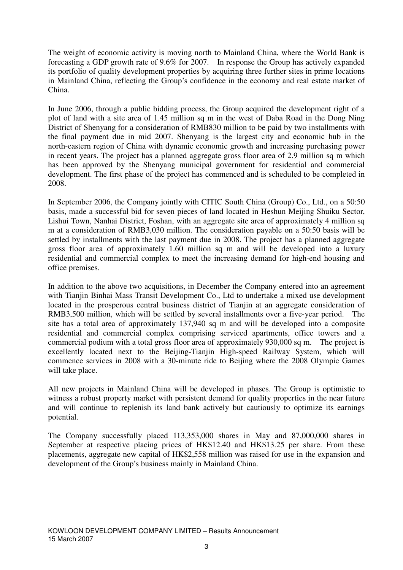The weight of economic activity is moving north to Mainland China, where the World Bank is forecasting a GDP growth rate of 9.6% for 2007. In response the Group has actively expanded its portfolio of quality development properties by acquiring three further sites in prime locations in Mainland China, reflecting the Group's confidence in the economy and real estate market of China.

In June 2006, through a public bidding process, the Group acquired the development right of a plot of land with a site area of 1.45 million sq m in the west of Daba Road in the Dong Ning District of Shenyang for a consideration of RMB830 million to be paid by two installments with the final payment due in mid 2007. Shenyang is the largest city and economic hub in the north-eastern region of China with dynamic economic growth and increasing purchasing power in recent years. The project has a planned aggregate gross floor area of 2.9 million sq m which has been approved by the Shenyang municipal government for residential and commercial development. The first phase of the project has commenced and is scheduled to be completed in 2008.

In September 2006, the Company jointly with CITIC South China (Group) Co., Ltd., on a 50:50 basis, made a successful bid for seven pieces of land located in Heshun Meijing Shuiku Sector, Lishui Town, Nanhai District, Foshan, with an aggregate site area of approximately 4 million sq m at a consideration of RMB3,030 million. The consideration payable on a 50:50 basis will be settled by installments with the last payment due in 2008. The project has a planned aggregate gross floor area of approximately 1.60 million sq m and will be developed into a luxury residential and commercial complex to meet the increasing demand for high-end housing and office premises.

In addition to the above two acquisitions, in December the Company entered into an agreement with Tianjin Binhai Mass Transit Development Co., Ltd to undertake a mixed use development located in the prosperous central business district of Tianjin at an aggregate consideration of RMB3,500 million, which will be settled by several installments over a five-year period. The site has a total area of approximately 137,940 sq m and will be developed into a composite residential and commercial complex comprising serviced apartments, office towers and a commercial podium with a total gross floor area of approximately 930,000 sq m. The project is excellently located next to the Beijing-Tianjin High-speed Railway System, which will commence services in 2008 with a 30-minute ride to Beijing where the 2008 Olympic Games will take place.

All new projects in Mainland China will be developed in phases. The Group is optimistic to witness a robust property market with persistent demand for quality properties in the near future and will continue to replenish its land bank actively but cautiously to optimize its earnings potential.

The Company successfully placed 113,353,000 shares in May and 87,000,000 shares in September at respective placing prices of HK\$12.40 and HK\$13.25 per share. From these placements, aggregate new capital of HK\$2,558 million was raised for use in the expansion and development of the Group's business mainly in Mainland China.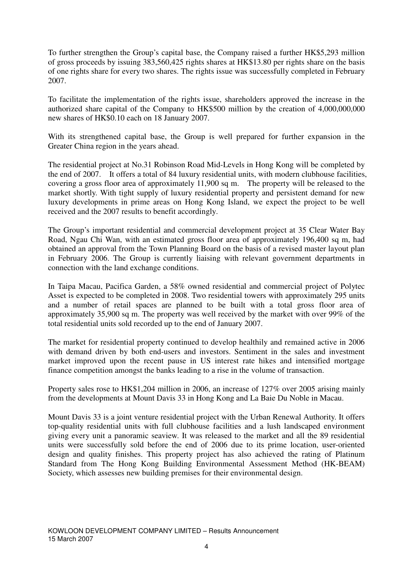To further strengthen the Group's capital base, the Company raised a further HK\$5,293 million of gross proceeds by issuing 383,560,425 rights shares at HK\$13.80 per rights share on the basis of one rights share for every two shares. The rights issue was successfully completed in February 2007.

To facilitate the implementation of the rights issue, shareholders approved the increase in the authorized share capital of the Company to HK\$500 million by the creation of 4,000,000,000 new shares of HK\$0.10 each on 18 January 2007.

With its strengthened capital base, the Group is well prepared for further expansion in the Greater China region in the years ahead.

The residential project at No.31 Robinson Road Mid-Levels in Hong Kong will be completed by the end of 2007. It offers a total of 84 luxury residential units, with modern clubhouse facilities, covering a gross floor area of approximately 11,900 sq m. The property will be released to the market shortly. With tight supply of luxury residential property and persistent demand for new luxury developments in prime areas on Hong Kong Island, we expect the project to be well received and the 2007 results to benefit accordingly.

The Group's important residential and commercial development project at 35 Clear Water Bay Road, Ngau Chi Wan, with an estimated gross floor area of approximately 196,400 sq m, had obtained an approval from the Town Planning Board on the basis of a revised master layout plan in February 2006. The Group is currently liaising with relevant government departments in connection with the land exchange conditions.

In Taipa Macau, Pacifica Garden, a 58% owned residential and commercial project of Polytec Asset is expected to be completed in 2008. Two residential towers with approximately 295 units and a number of retail spaces are planned to be built with a total gross floor area of approximately 35,900 sq m. The property was well received by the market with over 99% of the total residential units sold recorded up to the end of January 2007.

The market for residential property continued to develop healthily and remained active in 2006 with demand driven by both end-users and investors. Sentiment in the sales and investment market improved upon the recent pause in US interest rate hikes and intensified mortgage finance competition amongst the banks leading to a rise in the volume of transaction.

Property sales rose to HK\$1,204 million in 2006, an increase of 127% over 2005 arising mainly from the developments at Mount Davis 33 in Hong Kong and La Baie Du Noble in Macau.

Mount Davis 33 is a joint venture residential project with the Urban Renewal Authority. It offers top-quality residential units with full clubhouse facilities and a lush landscaped environment giving every unit a panoramic seaview. It was released to the market and all the 89 residential units were successfully sold before the end of 2006 due to its prime location, user-oriented design and quality finishes. This property project has also achieved the rating of Platinum Standard from The Hong Kong Building Environmental Assessment Method (HK-BEAM) Society, which assesses new building premises for their environmental design.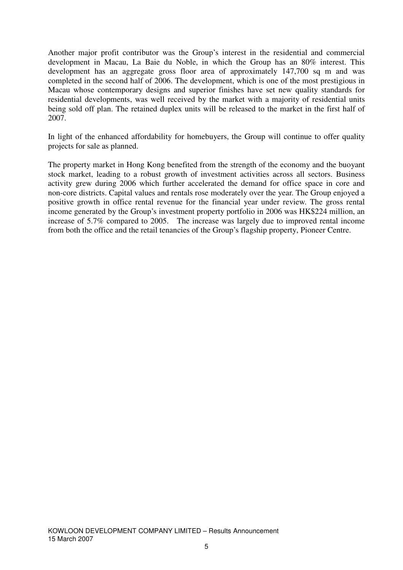Another major profit contributor was the Group's interest in the residential and commercial development in Macau, La Baie du Noble, in which the Group has an 80% interest. This development has an aggregate gross floor area of approximately 147,700 sq m and was completed in the second half of 2006. The development, which is one of the most prestigious in Macau whose contemporary designs and superior finishes have set new quality standards for residential developments, was well received by the market with a majority of residential units being sold off plan. The retained duplex units will be released to the market in the first half of 2007.

In light of the enhanced affordability for homebuyers, the Group will continue to offer quality projects for sale as planned.

The property market in Hong Kong benefited from the strength of the economy and the buoyant stock market, leading to a robust growth of investment activities across all sectors. Business activity grew during 2006 which further accelerated the demand for office space in core and non-core districts. Capital values and rentals rose moderately over the year. The Group enjoyed a positive growth in office rental revenue for the financial year under review. The gross rental income generated by the Group's investment property portfolio in 2006 was HK\$224 million, an increase of 5.7% compared to 2005. The increase was largely due to improved rental income from both the office and the retail tenancies of the Group's flagship property, Pioneer Centre.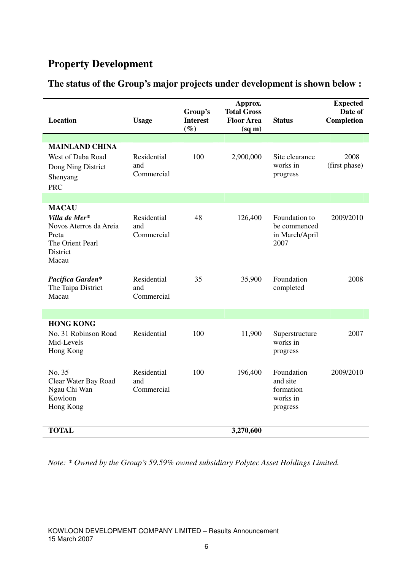## **Property Development**

|  |  | The status of the Group's major projects under development is shown below : |  |
|--|--|-----------------------------------------------------------------------------|--|
|  |  |                                                                             |  |

| <b>MAINLAND CHINA</b><br>West of Daba Road<br>100<br>Residential<br>2,900,000<br>Site clearance<br>2008<br>works in<br>and<br>(first phase)<br>Dong Ning District<br>Commercial<br>progress<br>Shenyang<br><b>PRC</b><br><b>MACAU</b><br>Residential<br>Villa de Mer*<br>48<br>126,400<br>Foundation to<br>2009/2010<br>Novos Aterros da Areia<br>and<br>be commenced<br>Commercial<br>Preta<br>in March/April<br>The Orient Pearl<br>2007<br>District<br>Macau<br>Residential<br>35<br>Foundation<br>Pacifica Garden*<br>35,900<br>2008<br>The Taipa District<br>and<br>completed<br>Macau<br>Commercial<br><b>HONG KONG</b><br>Residential<br>100<br>No. 31 Robinson Road<br>11,900<br>2007<br>Superstructure<br>works in<br>Mid-Levels<br>Hong Kong<br>progress<br>No. 35<br>Residential<br>100<br>196,400<br>Foundation<br>2009/2010<br>Clear Water Bay Road<br>and site<br>and<br>Ngau Chi Wan<br>Commercial<br>formation<br>Kowloon<br>works in<br>Hong Kong<br>progress | Location     | <b>Usage</b> | Group's<br><b>Interest</b><br>$(\%)$ | Approx.<br><b>Total Gross</b><br><b>Floor Area</b><br>$(sq \, \text{m})$ | <b>Status</b> | <b>Expected</b><br>Date of<br>Completion |
|--------------------------------------------------------------------------------------------------------------------------------------------------------------------------------------------------------------------------------------------------------------------------------------------------------------------------------------------------------------------------------------------------------------------------------------------------------------------------------------------------------------------------------------------------------------------------------------------------------------------------------------------------------------------------------------------------------------------------------------------------------------------------------------------------------------------------------------------------------------------------------------------------------------------------------------------------------------------------------|--------------|--------------|--------------------------------------|--------------------------------------------------------------------------|---------------|------------------------------------------|
|                                                                                                                                                                                                                                                                                                                                                                                                                                                                                                                                                                                                                                                                                                                                                                                                                                                                                                                                                                                |              |              |                                      |                                                                          |               |                                          |
|                                                                                                                                                                                                                                                                                                                                                                                                                                                                                                                                                                                                                                                                                                                                                                                                                                                                                                                                                                                |              |              |                                      |                                                                          |               |                                          |
|                                                                                                                                                                                                                                                                                                                                                                                                                                                                                                                                                                                                                                                                                                                                                                                                                                                                                                                                                                                |              |              |                                      |                                                                          |               |                                          |
|                                                                                                                                                                                                                                                                                                                                                                                                                                                                                                                                                                                                                                                                                                                                                                                                                                                                                                                                                                                |              |              |                                      |                                                                          |               |                                          |
|                                                                                                                                                                                                                                                                                                                                                                                                                                                                                                                                                                                                                                                                                                                                                                                                                                                                                                                                                                                |              |              |                                      |                                                                          |               |                                          |
|                                                                                                                                                                                                                                                                                                                                                                                                                                                                                                                                                                                                                                                                                                                                                                                                                                                                                                                                                                                |              |              |                                      |                                                                          |               |                                          |
|                                                                                                                                                                                                                                                                                                                                                                                                                                                                                                                                                                                                                                                                                                                                                                                                                                                                                                                                                                                |              |              |                                      |                                                                          |               |                                          |
|                                                                                                                                                                                                                                                                                                                                                                                                                                                                                                                                                                                                                                                                                                                                                                                                                                                                                                                                                                                |              |              |                                      |                                                                          |               |                                          |
|                                                                                                                                                                                                                                                                                                                                                                                                                                                                                                                                                                                                                                                                                                                                                                                                                                                                                                                                                                                | <b>TOTAL</b> |              |                                      | 3,270,600                                                                |               |                                          |

*Note: \* Owned by the Group's 59.59% owned subsidiary Polytec Asset Holdings Limited.*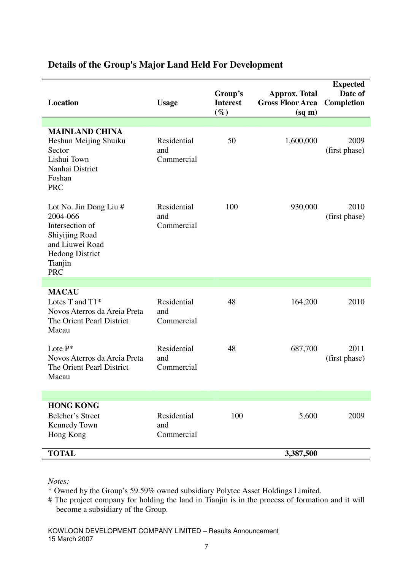| <b>Location</b>                                                                                                                                      | <b>Usage</b>                     | Group's<br><b>Interest</b><br>$(\%)$ | <b>Approx. Total</b><br><b>Gross Floor Area</b><br>$(sq \, \text{m})$ | <b>Expected</b><br>Date of<br><b>Completion</b> |
|------------------------------------------------------------------------------------------------------------------------------------------------------|----------------------------------|--------------------------------------|-----------------------------------------------------------------------|-------------------------------------------------|
| <b>MAINLAND CHINA</b><br>Heshun Meijing Shuiku<br>Sector<br>Lishui Town<br>Nanhai District<br>Foshan<br><b>PRC</b>                                   | Residential<br>and<br>Commercial | 50                                   | 1,600,000                                                             | 2009<br>(first phase)                           |
| Lot No. Jin Dong Liu #<br>2004-066<br>Intersection of<br><b>Shiyijing Road</b><br>and Liuwei Road<br><b>Hedong District</b><br>Tianjin<br><b>PRC</b> | Residential<br>and<br>Commercial | 100                                  | 930,000                                                               | 2010<br>(first phase)                           |
|                                                                                                                                                      |                                  |                                      |                                                                       |                                                 |
| <b>MACAU</b><br>Lotes T and T1*<br>Novos Aterros da Areia Preta<br>The Orient Pearl District<br>Macau                                                | Residential<br>and<br>Commercial | 48                                   | 164,200                                                               | 2010                                            |
| Lote $P^*$<br>Novos Aterros da Areia Preta<br>The Orient Pearl District<br>Macau                                                                     | Residential<br>and<br>Commercial | 48                                   | 687,700                                                               | 2011<br>(first phase)                           |
|                                                                                                                                                      |                                  |                                      |                                                                       |                                                 |
| <b>HONG KONG</b><br>Belcher's Street<br>Kennedy Town<br>Hong Kong                                                                                    | Residential<br>and<br>Commercial | 100                                  | 5,600                                                                 | 2009                                            |
| <b>TOTAL</b>                                                                                                                                         |                                  |                                      | 3,387,500                                                             |                                                 |

### **Details of the Group's Major Land Held For Development**

*Notes:* 

\* Owned by the Group's 59.59% owned subsidiary Polytec Asset Holdings Limited.

# The project company for holding the land in Tianjin is in the process of formation and it will become a subsidiary of the Group.

KOWLOON DEVELOPMENT COMPANY LIMITED – Results Announcement 15 March 2007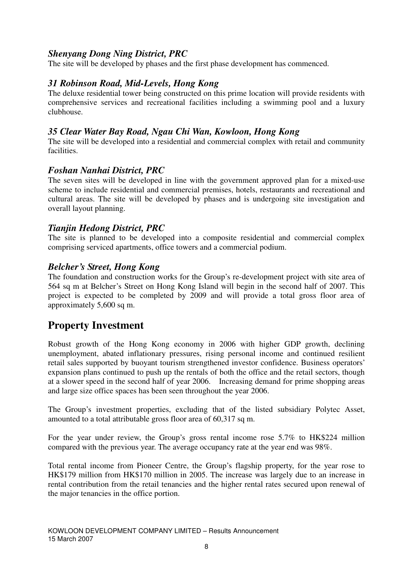### *Shenyang Dong Ning District, PRC*

The site will be developed by phases and the first phase development has commenced.

### *31 Robinson Road, Mid-Levels, Hong Kong*

The deluxe residential tower being constructed on this prime location will provide residents with comprehensive services and recreational facilities including a swimming pool and a luxury clubhouse.

### *35 Clear Water Bay Road, Ngau Chi Wan, Kowloon, Hong Kong*

The site will be developed into a residential and commercial complex with retail and community facilities.

### *Foshan Nanhai District, PRC*

The seven sites will be developed in line with the government approved plan for a mixed-use scheme to include residential and commercial premises, hotels, restaurants and recreational and cultural areas. The site will be developed by phases and is undergoing site investigation and overall layout planning.

### *Tianjin Hedong District, PRC*

The site is planned to be developed into a composite residential and commercial complex comprising serviced apartments, office towers and a commercial podium.

### *Belcher's Street, Hong Kong*

The foundation and construction works for the Group's re-development project with site area of 564 sq m at Belcher's Street on Hong Kong Island will begin in the second half of 2007. This project is expected to be completed by 2009 and will provide a total gross floor area of approximately 5,600 sq m.

### **Property Investment**

Robust growth of the Hong Kong economy in 2006 with higher GDP growth, declining unemployment, abated inflationary pressures, rising personal income and continued resilient retail sales supported by buoyant tourism strengthened investor confidence. Business operators' expansion plans continued to push up the rentals of both the office and the retail sectors, though at a slower speed in the second half of year 2006. Increasing demand for prime shopping areas and large size office spaces has been seen throughout the year 2006.

The Group's investment properties, excluding that of the listed subsidiary Polytec Asset, amounted to a total attributable gross floor area of 60.317 sq m.

For the year under review, the Group's gross rental income rose 5.7% to HK\$224 million compared with the previous year. The average occupancy rate at the year end was 98%.

Total rental income from Pioneer Centre, the Group's flagship property, for the year rose to HK\$179 million from HK\$170 million in 2005. The increase was largely due to an increase in rental contribution from the retail tenancies and the higher rental rates secured upon renewal of the major tenancies in the office portion.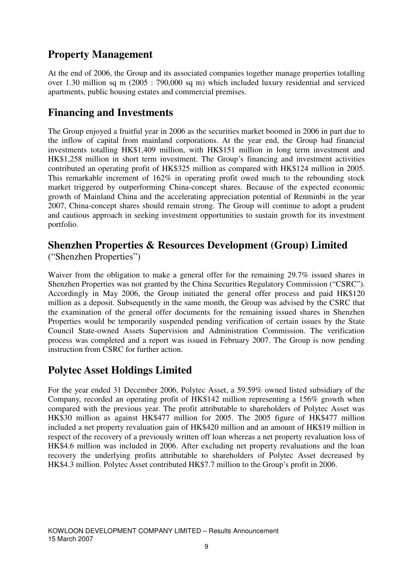## **Property Management**

At the end of 2006, the Group and its associated companies together manage properties totalling over 1.30 million sq m (2005 : 790,000 sq m) which included luxury residential and serviced apartments, public housing estates and commercial premises.

## **Financing and Investments**

The Group enjoyed a fruitful year in 2006 as the securities market boomed in 2006 in part due to the inflow of capital from mainland corporations. At the year end, the Group had financial investments totalling HK\$1,409 million, with HK\$151 million in long term investment and HK\$1,258 million in short term investment. The Group's financing and investment activities contributed an operating profit of HK\$325 million as compared with HK\$124 million in 2005. This remarkable increment of 162% in operating profit owed much to the rebounding stock market triggered by outperforming China-concept shares. Because of the expected economic growth of Mainland China and the accelerating appreciation potential of Renminbi in the year 2007, China-concept shares should remain strong. The Group will continue to adopt a prudent and cautious approach in seeking investment opportunities to sustain growth for its investment portfolio.

## **Shenzhen Properties & Resources Development (Group) Limited**

("Shenzhen Properties")

Waiver from the obligation to make a general offer for the remaining 29.7% issued shares in Shenzhen Properties was not granted by the China Securities Regulatory Commission ("CSRC"). Accordingly in May 2006, the Group initiated the general offer process and paid HK\$120 million as a deposit. Subsequently in the same month, the Group was advised by the CSRC that the examination of the general offer documents for the remaining issued shares in Shenzhen Properties would be temporarily suspended pending verification of certain issues by the State Council State-owned Assets Supervision and Administration Commission. The verification process was completed and a report was issued in February 2007. The Group is now pending instruction from CSRC for further action.

## **Polytec Asset Holdings Limited**

For the year ended 31 December 2006, Polytec Asset, a 59.59% owned listed subsidiary of the Company, recorded an operating profit of HK\$142 million representing a 156% growth when compared with the previous year. The profit attributable to shareholders of Polytec Asset was HK\$30 million as against HK\$477 million for 2005. The 2005 figure of HK\$477 million included a net property revaluation gain of HK\$420 million and an amount of HK\$19 million in respect of the recovery of a previously written off loan whereas a net property revaluation loss of HK\$4.6 million was included in 2006. After excluding net property revaluations and the loan recovery the underlying profits attributable to shareholders of Polytec Asset decreased by HK\$4.3 million. Polytec Asset contributed HK\$7.7 million to the Group's profit in 2006.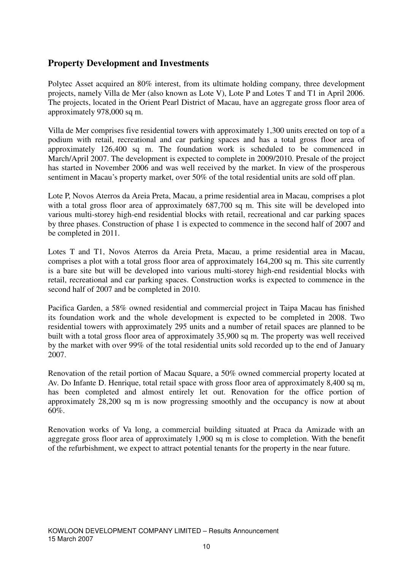### **Property Development and Investments**

Polytec Asset acquired an 80% interest, from its ultimate holding company, three development projects, namely Villa de Mer (also known as Lote V), Lote P and Lotes T and T1 in April 2006. The projects, located in the Orient Pearl District of Macau, have an aggregate gross floor area of approximately 978,000 sq m.

Villa de Mer comprises five residential towers with approximately 1,300 units erected on top of a podium with retail, recreational and car parking spaces and has a total gross floor area of approximately 126,400 sq m. The foundation work is scheduled to be commenced in March/April 2007. The development is expected to complete in 2009/2010. Presale of the project has started in November 2006 and was well received by the market. In view of the prosperous sentiment in Macau's property market, over 50% of the total residential units are sold off plan.

Lote P, Novos Aterros da Areia Preta, Macau, a prime residential area in Macau, comprises a plot with a total gross floor area of approximately 687,700 sq m. This site will be developed into various multi-storey high-end residential blocks with retail, recreational and car parking spaces by three phases. Construction of phase 1 is expected to commence in the second half of 2007 and be completed in 2011.

Lotes T and T1, Novos Aterros da Areia Preta, Macau, a prime residential area in Macau, comprises a plot with a total gross floor area of approximately 164,200 sq m. This site currently is a bare site but will be developed into various multi-storey high-end residential blocks with retail, recreational and car parking spaces. Construction works is expected to commence in the second half of 2007 and be completed in 2010.

Pacifica Garden, a 58% owned residential and commercial project in Taipa Macau has finished its foundation work and the whole development is expected to be completed in 2008. Two residential towers with approximately 295 units and a number of retail spaces are planned to be built with a total gross floor area of approximately 35,900 sq m. The property was well received by the market with over 99% of the total residential units sold recorded up to the end of January 2007.

Renovation of the retail portion of Macau Square, a 50% owned commercial property located at Av. Do Infante D. Henrique, total retail space with gross floor area of approximately 8,400 sq m, has been completed and almost entirely let out. Renovation for the office portion of approximately 28,200 sq m is now progressing smoothly and the occupancy is now at about 60%.

Renovation works of Va long, a commercial building situated at Praca da Amizade with an aggregate gross floor area of approximately 1,900 sq m is close to completion. With the benefit of the refurbishment, we expect to attract potential tenants for the property in the near future.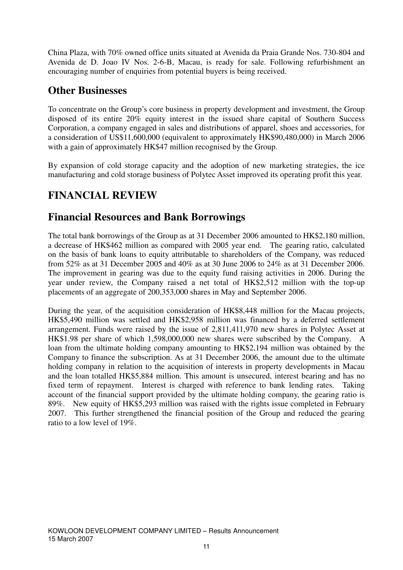China Plaza, with 70% owned office units situated at Avenida da Praia Grande Nos. 730-804 and Avenida de D. Joao IV Nos. 2-6-B, Macau, is ready for sale. Following refurbishment an encouraging number of enquiries from potential buyers is being received.

## **Other Businesses**

To concentrate on the Group's core business in property development and investment, the Group disposed of its entire 20% equity interest in the issued share capital of Southern Success Corporation, a company engaged in sales and distributions of apparel, shoes and accessories, for a consideration of US\$11,600,000 (equivalent to approximately HK\$90,480,000) in March 2006 with a gain of approximately HK\$47 million recognised by the Group.

By expansion of cold storage capacity and the adoption of new marketing strategies, the ice manufacturing and cold storage business of Polytec Asset improved its operating profit this year.

## **FINANCIAL REVIEW**

## **Financial Resources and Bank Borrowings**

The total bank borrowings of the Group as at 31 December 2006 amounted to HK\$2,180 million, a decrease of HK\$462 million as compared with 2005 year end. The gearing ratio, calculated on the basis of bank loans to equity attributable to shareholders of the Company, was reduced from 52% as at 31 December 2005 and 40% as at 30 June 2006 to 24% as at 31 December 2006. The improvement in gearing was due to the equity fund raising activities in 2006. During the year under review, the Company raised a net total of HK\$2,512 million with the top-up placements of an aggregate of 200,353,000 shares in May and September 2006.

During the year, of the acquisition consideration of HK\$8,448 million for the Macau projects, HK\$5,490 million was settled and HK\$2,958 million was financed by a deferred settlement arrangement. Funds were raised by the issue of 2,811,411,970 new shares in Polytec Asset at HK\$1.98 per share of which 1,598,000,000 new shares were subscribed by the Company. A loan from the ultimate holding company amounting to HK\$2,194 million was obtained by the Company to finance the subscription. As at 31 December 2006, the amount due to the ultimate holding company in relation to the acquisition of interests in property developments in Macau and the loan totalled HK\$5,884 million. This amount is unsecured, interest bearing and has no fixed term of repayment. Interest is charged with reference to bank lending rates. Taking account of the financial support provided by the ultimate holding company, the gearing ratio is 89%. New equity of HK\$5,293 million was raised with the rights issue completed in February 2007. This further strengthened the financial position of the Group and reduced the gearing ratio to a low level of 19%.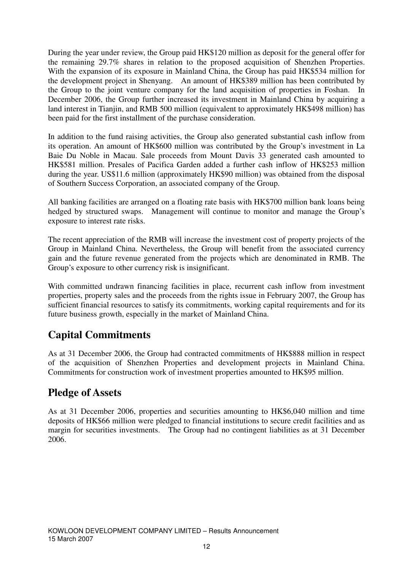During the year under review, the Group paid HK\$120 million as deposit for the general offer for the remaining 29.7% shares in relation to the proposed acquisition of Shenzhen Properties. With the expansion of its exposure in Mainland China, the Group has paid HK\$534 million for the development project in Shenyang. An amount of HK\$389 million has been contributed by the Group to the joint venture company for the land acquisition of properties in Foshan. In December 2006, the Group further increased its investment in Mainland China by acquiring a land interest in Tianjin, and RMB 500 million (equivalent to approximately HK\$498 million) has been paid for the first installment of the purchase consideration.

In addition to the fund raising activities, the Group also generated substantial cash inflow from its operation. An amount of HK\$600 million was contributed by the Group's investment in La Baie Du Noble in Macau. Sale proceeds from Mount Davis 33 generated cash amounted to HK\$581 million. Presales of Pacifica Garden added a further cash inflow of HK\$253 million during the year. US\$11.6 million (approximately HK\$90 million) was obtained from the disposal of Southern Success Corporation, an associated company of the Group.

All banking facilities are arranged on a floating rate basis with HK\$700 million bank loans being hedged by structured swaps. Management will continue to monitor and manage the Group's exposure to interest rate risks.

The recent appreciation of the RMB will increase the investment cost of property projects of the Group in Mainland China. Nevertheless, the Group will benefit from the associated currency gain and the future revenue generated from the projects which are denominated in RMB. The Group's exposure to other currency risk is insignificant.

With committed undrawn financing facilities in place, recurrent cash inflow from investment properties, property sales and the proceeds from the rights issue in February 2007, the Group has sufficient financial resources to satisfy its commitments, working capital requirements and for its future business growth, especially in the market of Mainland China.

## **Capital Commitments**

As at 31 December 2006, the Group had contracted commitments of HK\$888 million in respect of the acquisition of Shenzhen Properties and development projects in Mainland China. Commitments for construction work of investment properties amounted to HK\$95 million.

### **Pledge of Assets**

As at 31 December 2006, properties and securities amounting to HK\$6,040 million and time deposits of HK\$66 million were pledged to financial institutions to secure credit facilities and as margin for securities investments. The Group had no contingent liabilities as at 31 December 2006.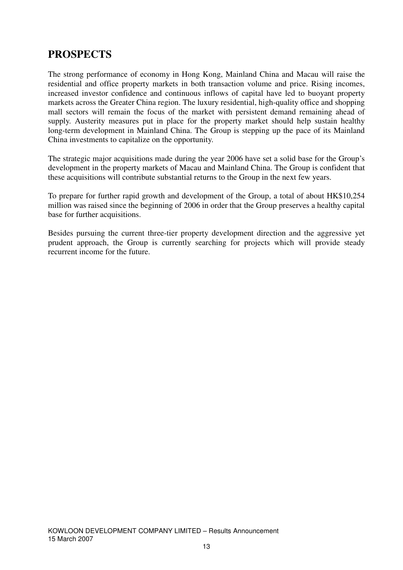## **PROSPECTS**

The strong performance of economy in Hong Kong, Mainland China and Macau will raise the residential and office property markets in both transaction volume and price. Rising incomes, increased investor confidence and continuous inflows of capital have led to buoyant property markets across the Greater China region. The luxury residential, high-quality office and shopping mall sectors will remain the focus of the market with persistent demand remaining ahead of supply. Austerity measures put in place for the property market should help sustain healthy long-term development in Mainland China. The Group is stepping up the pace of its Mainland China investments to capitalize on the opportunity.

The strategic major acquisitions made during the year 2006 have set a solid base for the Group's development in the property markets of Macau and Mainland China. The Group is confident that these acquisitions will contribute substantial returns to the Group in the next few years.

To prepare for further rapid growth and development of the Group, a total of about HK\$10,254 million was raised since the beginning of 2006 in order that the Group preserves a healthy capital base for further acquisitions.

Besides pursuing the current three-tier property development direction and the aggressive yet prudent approach, the Group is currently searching for projects which will provide steady recurrent income for the future.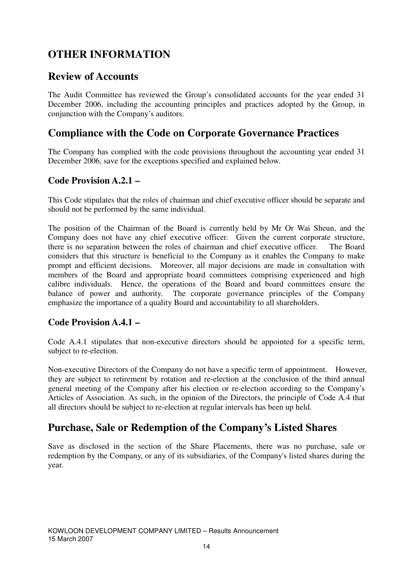## **OTHER INFORMATION**

### **Review of Accounts**

The Audit Committee has reviewed the Group's consolidated accounts for the year ended 31 December 2006, including the accounting principles and practices adopted by the Group, in conjunction with the Company's auditors.

## **Compliance with the Code on Corporate Governance Practices**

The Company has complied with the code provisions throughout the accounting year ended 31 December 2006, save for the exceptions specified and explained below.

### **Code Provision A.2.1 –**

This Code stipulates that the roles of chairman and chief executive officer should be separate and should not be performed by the same individual.

The position of the Chairman of the Board is currently held by Mr Or Wai Sheun, and the Company does not have any chief executive officer. Given the current corporate structure, there is no separation between the roles of chairman and chief executive officer. The Board considers that this structure is beneficial to the Company as it enables the Company to make prompt and efficient decisions. Moreover, all major decisions are made in consultation with members of the Board and appropriate board committees comprising experienced and high calibre individuals. Hence, the operations of the Board and board committees ensure the balance of power and authority. The corporate governance principles of the Company emphasize the importance of a quality Board and accountability to all shareholders.

### **Code Provision A.4.1 –**

Code A.4.1 stipulates that non-executive directors should be appointed for a specific term, subject to re-election.

Non-executive Directors of the Company do not have a specific term of appointment. However, they are subject to retirement by rotation and re-election at the conclusion of the third annual general meeting of the Company after his election or re-election according to the Company's Articles of Association. As such, in the opinion of the Directors, the principle of Code A.4 that all directors should be subject to re-election at regular intervals has been up held.

## **Purchase, Sale or Redemption of the Company's Listed Shares**

Save as disclosed in the section of the Share Placements, there was no purchase, sale or redemption by the Company, or any of its subsidiaries, of the Company's listed shares during the year.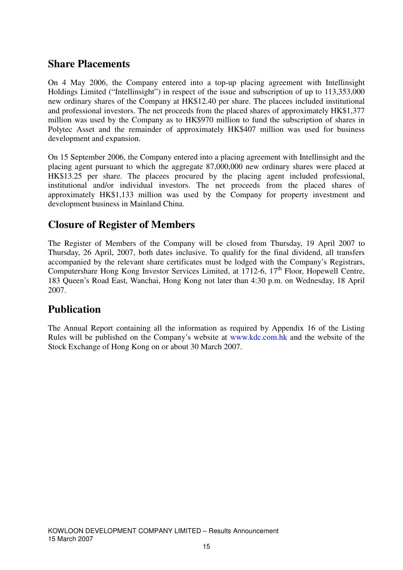### **Share Placements**

On 4 May 2006, the Company entered into a top-up placing agreement with Intellinsight Holdings Limited ("Intellinsight") in respect of the issue and subscription of up to 113,353,000 new ordinary shares of the Company at HK\$12.40 per share. The placees included institutional and professional investors. The net proceeds from the placed shares of approximately HK\$1,377 million was used by the Company as to HK\$970 million to fund the subscription of shares in Polytec Asset and the remainder of approximately HK\$407 million was used for business development and expansion.

On 15 September 2006, the Company entered into a placing agreement with Intellinsight and the placing agent pursuant to which the aggregate 87,000,000 new ordinary shares were placed at HK\$13.25 per share. The placees procured by the placing agent included professional, institutional and/or individual investors. The net proceeds from the placed shares of approximately HK\$1,133 million was used by the Company for property investment and development business in Mainland China.

## **Closure of Register of Members**

The Register of Members of the Company will be closed from Thursday, 19 April 2007 to Thursday, 26 April, 2007, both dates inclusive. To qualify for the final dividend, all transfers accompanied by the relevant share certificates must be lodged with the Company's Registrars, Computershare Hong Kong Investor Services Limited, at 1712-6, 17<sup>th</sup> Floor, Hopewell Centre, 183 Queen's Road East, Wanchai, Hong Kong not later than 4:30 p.m. on Wednesday, 18 April 2007.

## **Publication**

The Annual Report containing all the information as required by Appendix 16 of the Listing Rules will be published on the Company's website at www.kdc.com.hk and the website of the Stock Exchange of Hong Kong on or about 30 March 2007.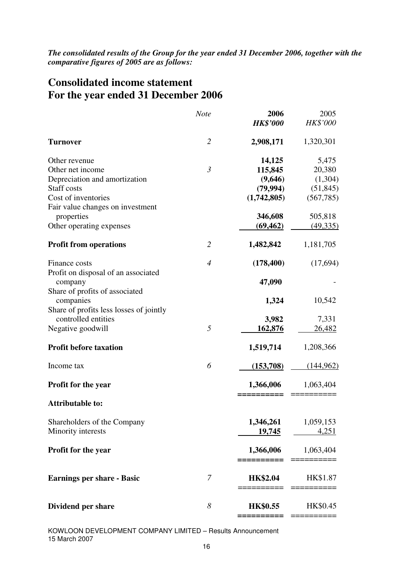*The consolidated results of the Group for the year ended 31 December 2006, together with the comparative figures of 2005 are as follows:* 

## **Consolidated income statement For the year ended 31 December 2006**

|                                                                | <b>Note</b>    | 2006                    | 2005                 |
|----------------------------------------------------------------|----------------|-------------------------|----------------------|
|                                                                |                | <b>HK\$'000</b>         | HK\$'000             |
| <b>Turnover</b>                                                | $\overline{2}$ | 2,908,171               | 1,320,301            |
| Other revenue                                                  |                | 14,125                  | 5,475                |
| Other net income                                               | $\mathfrak{Z}$ | 115,845                 | 20,380               |
| Depreciation and amortization                                  |                | (9,646)                 | (1,304)              |
| <b>Staff</b> costs                                             |                | (79, 994)               | (51, 845)            |
| Cost of inventories                                            |                | (1,742,805)             | (567, 785)           |
| Fair value changes on investment                               |                |                         |                      |
| properties<br>Other operating expenses                         |                | 346,608<br>(69, 462)    | 505,818<br>(49, 335) |
|                                                                |                |                         |                      |
| <b>Profit from operations</b>                                  | $\overline{2}$ | 1,482,842               | 1,181,705            |
| Finance costs                                                  | $\overline{4}$ | (178, 400)              | (17,694)             |
| Profit on disposal of an associated<br>company                 |                | 47,090                  |                      |
| Share of profits of associated                                 |                |                         |                      |
| companies                                                      |                | 1,324                   | 10,542               |
| Share of profits less losses of jointly<br>controlled entities |                |                         | 7,331                |
| Negative goodwill                                              | 5              | 3,982<br>162,876        | 26,482               |
|                                                                |                |                         |                      |
| <b>Profit before taxation</b>                                  |                | 1,519,714               | 1,208,366            |
| Income tax                                                     | 6              | (153,708)               | (144, 962)           |
| <b>Profit for the year</b>                                     |                | 1,366,006               | 1,063,404            |
| <b>Attributable to:</b>                                        |                |                         |                      |
| Shareholders of the Company                                    |                | 1,346,261               | 1,059,153            |
| Minority interests                                             |                | 19,745                  | 4,251                |
| <b>Profit for the year</b>                                     |                | 1,366,006<br>:========= | 1,063,404            |
| <b>Earnings per share - Basic</b>                              | $\overline{7}$ | <b>HK\$2.04</b>         | HK\$1.87             |
| Dividend per share                                             | 8              | <b>HK\$0.55</b>         | HK\$0.45             |
|                                                                |                |                         |                      |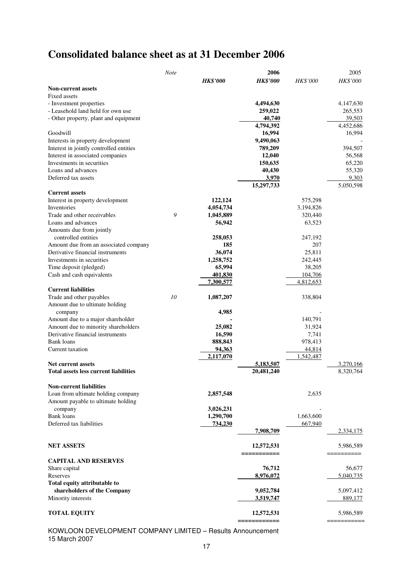## **Consolidated balance sheet as at 31 December 2006**

|                                              | <b>Note</b> |                 | 2006             |                 | 2005      |
|----------------------------------------------|-------------|-----------------|------------------|-----------------|-----------|
|                                              |             | <b>HK\$'000</b> | <b>HK\$'000</b>  | <b>HK\$'000</b> | HK\$'000  |
| <b>Non-current assets</b>                    |             |                 |                  |                 |           |
| Fixed assets                                 |             |                 |                  |                 |           |
| - Investment properties                      |             |                 | 4,494,630        |                 | 4,147,630 |
| - Leasehold land held for own use            |             |                 | 259,022          |                 | 265,553   |
| - Other property, plant and equipment        |             |                 | 40,740           |                 | 39,503    |
|                                              |             |                 | 4,794,392        |                 | 4,452,686 |
| Goodwill                                     |             |                 | 16,994           |                 | 16,994    |
| Interests in property development            |             |                 | 9,490,063        |                 |           |
| Interest in jointly controlled entities      |             |                 | 789,209          |                 | 394,507   |
| Interest in associated companies             |             |                 | 12,040           |                 | 56,568    |
| Investments in securities                    |             |                 | 150,635          |                 | 65,220    |
| Loans and advances                           |             |                 | 40,430           |                 | 55,320    |
| Deferred tax assets                          |             |                 | 3,970            |                 | 9,303     |
|                                              |             |                 | 15,297,733       |                 | 5,050,598 |
| <b>Current assets</b>                        |             |                 |                  |                 |           |
| Interest in property development             |             | 122,124         |                  | 575,298         |           |
| Inventories                                  |             | 4,054,734       |                  | 3,194,826       |           |
| Trade and other receivables                  | 9           | 1,045,889       |                  | 320,440         |           |
| Loans and advances                           |             | 56,942          |                  | 63,523          |           |
| Amounts due from jointly                     |             |                 |                  |                 |           |
| controlled entities                          |             | 258,053         |                  | 247,192         |           |
| Amount due from an associated company        |             | 185             |                  | 207             |           |
| Derivative financial instruments             |             | 36,074          |                  | 25,811          |           |
| Investments in securities                    |             | 1,258,752       |                  | 242,445         |           |
| Time deposit (pledged)                       |             | 65,994          |                  | 38,205          |           |
| Cash and cash equivalents                    |             | 401,830         |                  | 104,706         |           |
|                                              |             | 7,300,577       |                  | 4,812,653       |           |
| <b>Current liabilities</b>                   |             |                 |                  |                 |           |
| Trade and other payables                     | 10          | 1,087,207       |                  | 338,804         |           |
| Amount due to ultimate holding               |             |                 |                  |                 |           |
| company                                      |             | 4,985           |                  |                 |           |
| Amount due to a major shareholder            |             |                 |                  | 140,791         |           |
| Amount due to minority shareholders          |             | 25,082          |                  | 31,924          |           |
| Derivative financial instruments             |             | 16,590          |                  | 7,741           |           |
| <b>Bank</b> loans                            |             | 888,843         |                  | 978,413         |           |
| Current taxation                             |             | 94,363          |                  | 44,814          |           |
|                                              |             | 2,117,070       |                  | 1,542,487       |           |
| <b>Net current assets</b>                    |             |                 | 5,183,507        |                 | 3,270,166 |
| <b>Total assets less current liabilities</b> |             |                 | 20,481,240       |                 | 8,320,764 |
|                                              |             |                 |                  |                 |           |
| <b>Non-current liabilities</b>               |             |                 |                  |                 |           |
| Loan from ultimate holding company           |             | 2,857,548       |                  | 2,635           |           |
| Amount payable to ultimate holding           |             |                 |                  |                 |           |
| company                                      |             | 3,026,231       |                  |                 |           |
| Bank loans                                   |             | 1,290,700       |                  | 1,663,600       |           |
| Deferred tax liabilities                     |             | 734,230         |                  | 667,940         |           |
|                                              |             |                 | <u>7,908,709</u> |                 | 2,334,175 |
|                                              |             |                 |                  |                 |           |
| <b>NET ASSETS</b>                            |             |                 | 12,572,531       |                 | 5,986,589 |
|                                              |             |                 | _________        |                 | ========  |
| <b>CAPITAL AND RESERVES</b>                  |             |                 |                  |                 |           |
| Share capital                                |             |                 | 76,712           |                 | 56,677    |
| Reserves                                     |             |                 | 8,976,072        |                 | 5,040,735 |
| Total equity attributable to                 |             |                 |                  |                 |           |
| shareholders of the Company                  |             |                 | 9,052,784        |                 | 5,097,412 |
| Minority interests                           |             |                 | 3,519,747        |                 | 889,177   |
|                                              |             |                 |                  |                 |           |
| <b>TOTAL EQUITY</b>                          |             |                 | 12,572,531       |                 | 5,986,589 |
|                                              |             |                 | -------------    |                 | ========= |

KOWLOON DEVELOPMENT COMPANY LIMITED – Results Announcement 15 March 2007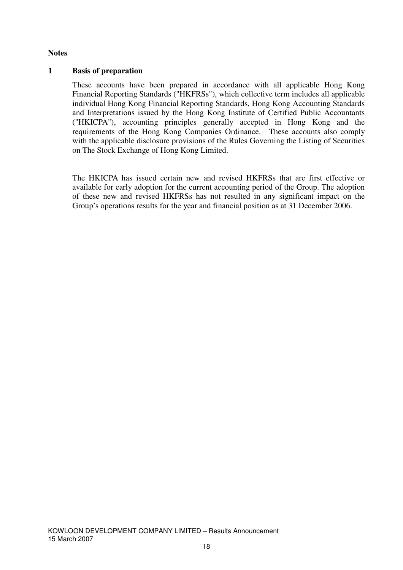#### **Notes**

#### **1 Basis of preparation**

These accounts have been prepared in accordance with all applicable Hong Kong Financial Reporting Standards ("HKFRSs"), which collective term includes all applicable individual Hong Kong Financial Reporting Standards, Hong Kong Accounting Standards and Interpretations issued by the Hong Kong Institute of Certified Public Accountants ("HKICPA"), accounting principles generally accepted in Hong Kong and the requirements of the Hong Kong Companies Ordinance. These accounts also comply with the applicable disclosure provisions of the Rules Governing the Listing of Securities on The Stock Exchange of Hong Kong Limited.

The HKICPA has issued certain new and revised HKFRSs that are first effective or available for early adoption for the current accounting period of the Group. The adoption of these new and revised HKFRSs has not resulted in any significant impact on the Group's operations results for the year and financial position as at 31 December 2006.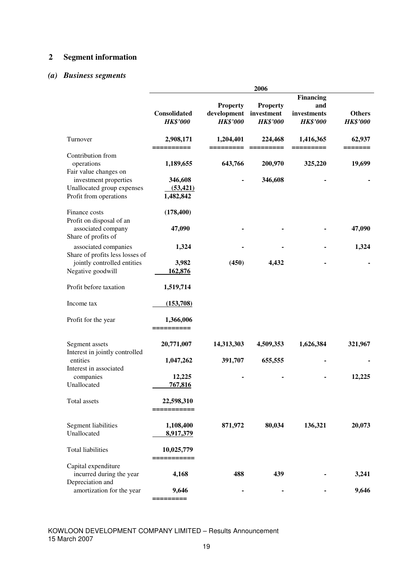### **2 Segment information**

### *(a) Business segments*

|                                                                                                                                           | 2006                                           |                                                   |                                                  |                                                           |                                  |
|-------------------------------------------------------------------------------------------------------------------------------------------|------------------------------------------------|---------------------------------------------------|--------------------------------------------------|-----------------------------------------------------------|----------------------------------|
|                                                                                                                                           | Consolidated<br><b>HK\$'000</b>                | <b>Property</b><br>development<br><b>HK\$'000</b> | <b>Property</b><br>investment<br><b>HK\$'000</b> | <b>Financing</b><br>and<br>investments<br><b>HK\$'000</b> | <b>Others</b><br><b>HK\$'000</b> |
| Turnover                                                                                                                                  | 2,908,171<br>==========                        | 1,204,401<br>========                             | 224,468<br>$=$ ========                          | 1,416,365<br>=========                                    | 62,937<br>=======                |
| Contribution from<br>operations<br>Fair value changes on<br>investment properties<br>Unallocated group expenses<br>Profit from operations | 1,189,655<br>346,608<br>(53, 421)<br>1,482,842 | 643,766                                           | 200,970<br>346,608                               | 325,220                                                   | 19,699                           |
| Finance costs<br>Profit on disposal of an<br>associated company<br>Share of profits of                                                    | (178, 400)<br>47,090                           |                                                   |                                                  |                                                           | 47,090                           |
| associated companies<br>Share of profits less losses of<br>jointly controlled entities<br>Negative goodwill                               | 1,324<br>3,982<br>162,876                      | (450)                                             | 4,432                                            |                                                           | 1,324                            |
| Profit before taxation                                                                                                                    | 1,519,714                                      |                                                   |                                                  |                                                           |                                  |
| Income tax                                                                                                                                | (153,708)                                      |                                                   |                                                  |                                                           |                                  |
| Profit for the year                                                                                                                       | 1,366,006<br>==========                        |                                                   |                                                  |                                                           |                                  |
| Segment assets<br>Interest in jointly controlled                                                                                          | 20,771,007                                     | 14,313,303                                        | 4,509,353                                        | 1,626,384                                                 | 321,967                          |
| entities<br>Interest in associated<br>companies<br>Unallocated                                                                            | 1,047,262<br>12,225<br>767,816                 | 391,707                                           | 655,555                                          |                                                           | 12,225                           |
| Total assets                                                                                                                              | 22,598,310<br>---------                        |                                                   |                                                  |                                                           |                                  |
| Segment liabilities<br>Unallocated                                                                                                        | 1,108,400<br>8,917,379                         | 871,972                                           | 80,034                                           | 136,321                                                   | 20,073                           |
| <b>Total liabilities</b>                                                                                                                  | 10,025,779<br>---------                        |                                                   |                                                  |                                                           |                                  |
| Capital expenditure<br>incurred during the year<br>Depreciation and                                                                       | 4,168                                          | 488                                               | 439                                              |                                                           | 3,241                            |
| amortization for the year                                                                                                                 | 9,646                                          |                                                   |                                                  |                                                           | 9,646                            |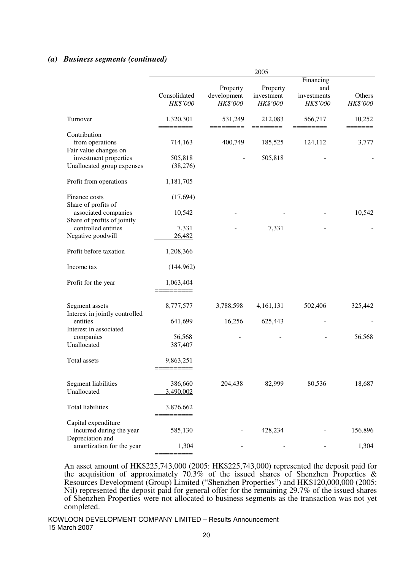#### *(a) Business segments (continued)*

|                                                                     | 2005                     |                                     |                                    |                                             |                    |
|---------------------------------------------------------------------|--------------------------|-------------------------------------|------------------------------------|---------------------------------------------|--------------------|
|                                                                     | Consolidated<br>HK\$'000 | Property<br>development<br>HK\$'000 | Property<br>investment<br>HK\$'000 | Financing<br>and<br>investments<br>HK\$'000 | Others<br>HK\$'000 |
| Turnover                                                            | 1,320,301                | 531,249                             | 212,083                            | 566,717                                     | 10,252             |
| Contribution<br>from operations<br>Fair value changes on            | 714,163                  | 400,749                             | 185,525                            | 124,112                                     | 3,777              |
| investment properties<br>Unallocated group expenses                 | 505,818<br>(38,276)      |                                     | 505,818                            |                                             |                    |
| Profit from operations                                              | 1,181,705                |                                     |                                    |                                             |                    |
| Finance costs<br>Share of profits of                                | (17, 694)                |                                     |                                    |                                             |                    |
| associated companies<br>Share of profits of jointly                 | 10,542                   |                                     |                                    |                                             | 10,542             |
| controlled entities<br>Negative goodwill                            | 7,331<br>26,482          |                                     | 7,331                              |                                             |                    |
| Profit before taxation                                              | 1,208,366                |                                     |                                    |                                             |                    |
| Income tax                                                          | (144, 962)               |                                     |                                    |                                             |                    |
| Profit for the year                                                 | 1,063,404                |                                     |                                    |                                             |                    |
| Segment assets<br>Interest in jointly controlled                    | 8,777,577                | 3,788,598                           | 4,161,131                          | 502,406                                     | 325,442            |
| entities<br>Interest in associated                                  | 641,699                  | 16,256                              | 625,443                            |                                             |                    |
| companies<br>Unallocated                                            | 56,568<br>387,407        |                                     |                                    |                                             | 56,568             |
| Total assets                                                        | 9,863,251                |                                     |                                    |                                             |                    |
| Segment liabilities<br>Unallocated                                  | 386,660<br>3,490,002     | 204,438                             | 82,999                             | 80,536                                      | 18,687             |
| <b>Total liabilities</b>                                            | 3,876,662                |                                     |                                    |                                             |                    |
| Capital expenditure<br>incurred during the year<br>Depreciation and | 585,130                  |                                     | 428,234                            |                                             | 156,896            |
| amortization for the year                                           | 1,304<br>=======         |                                     |                                    |                                             | 1,304              |

An asset amount of HK\$225,743,000 (2005: HK\$225,743,000) represented the deposit paid for the acquisition of approximately 70.3% of the issued shares of Shenzhen Properties & Resources Development (Group) Limited ("Shenzhen Properties") and HK\$120,000,000 (2005: Nil) represented the deposit paid for general offer for the remaining 29.7% of the issued shares of Shenzhen Properties were not allocated to business segments as the transaction was not yet completed.

KOWLOON DEVELOPMENT COMPANY LIMITED – Results Announcement 15 March 2007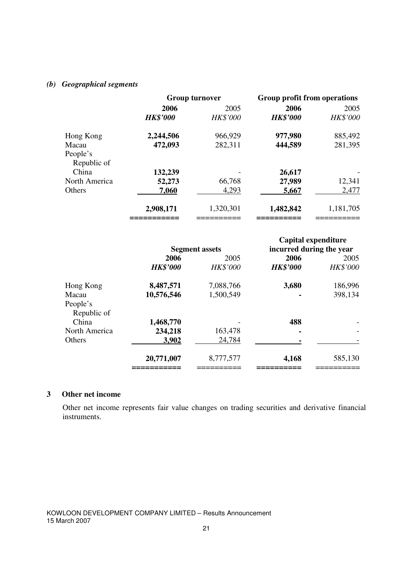#### *(b) Geographical segments*

|               | <b>Group turnover</b> |           | Group profit from operations |           |
|---------------|-----------------------|-----------|------------------------------|-----------|
|               | 2006                  | 2005      |                              | 2005      |
|               | <b>HK\$'000</b>       | HK\$'000  | <b>HK\$'000</b>              | HK\$'000  |
| Hong Kong     | 2,244,506             | 966,929   | 977,980                      | 885,492   |
| Macau         | 472,093               | 282,311   | 444,589                      | 281,395   |
| People's      |                       |           |                              |           |
| Republic of   |                       |           |                              |           |
| China         | 132,239               |           | 26,617                       |           |
| North America | 52,273                | 66,768    | 27,989                       | 12,341    |
| Others        | 7,060                 | 4,293     | 5,667                        | 2,477     |
|               | 2,908,171             | 1,320,301 | 1,482,842                    | 1,181,705 |
|               |                       |           |                              |           |

|                         | <b>Segment assets</b> |                 | Capital expenditure<br>incurred during the year |                 |
|-------------------------|-----------------------|-----------------|-------------------------------------------------|-----------------|
|                         | 2006<br>2005          |                 | 2006                                            | 2005            |
|                         | <b>HK\$'000</b>       | <b>HK\$'000</b> | <b>HK\$'000</b>                                 | <b>HK\$'000</b> |
| Hong Kong               | 8,487,571             | 7,088,766       | 3,680                                           | 186,996         |
| Macau                   | 10,576,546            | 1,500,549       |                                                 | 398,134         |
| People's<br>Republic of |                       |                 |                                                 |                 |
| China                   | 1,468,770             |                 | 488                                             |                 |
| North America           | 234,218               | 163,478         |                                                 |                 |
| Others                  | 3,902                 | 24,784          |                                                 |                 |
|                         | 20,771,007            | 8,777,577       | 4,168                                           | 585,130         |

#### **3 Other net income**

Other net income represents fair value changes on trading securities and derivative financial instruments.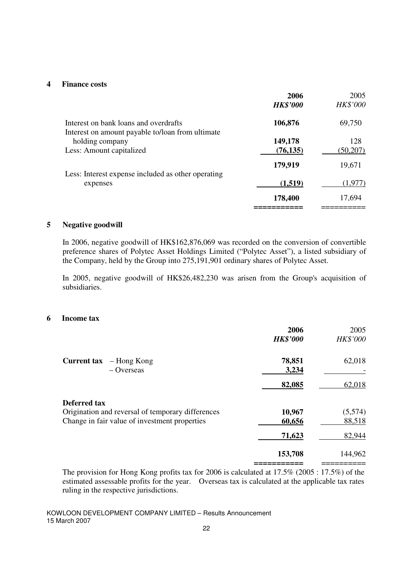#### **4 Finance costs**

|                                                                                           | 2006<br><b>HK\$'000</b> | 2005<br>HK\$'000 |
|-------------------------------------------------------------------------------------------|-------------------------|------------------|
| Interest on bank loans and overdrafts<br>Interest on amount payable to/loan from ultimate | 106,876                 | 69,750           |
| holding company                                                                           | 149,178                 | 128              |
| Less: Amount capitalized                                                                  | (76, 135)               | (50,207)         |
|                                                                                           | 179,919                 | 19,671           |
| Less: Interest expense included as other operating                                        |                         |                  |
| expenses                                                                                  | (1,519)                 | (1,977)          |
|                                                                                           | 178,400                 | 17,694           |
|                                                                                           |                         |                  |

#### **5 Negative goodwill**

In 2006, negative goodwill of HK\$162,876,069 was recorded on the conversion of convertible preference shares of Polytec Asset Holdings Limited ("Polytec Asset"), a listed subsidiary of the Company, held by the Group into 275,191,901 ordinary shares of Polytec Asset.

In 2005, negative goodwill of HK\$26,482,230 was arisen from the Group's acquisition of subsidiaries.

#### **6 Income tax**

|                                                   | 2006            | 2005     |
|---------------------------------------------------|-----------------|----------|
|                                                   | <b>HK\$'000</b> | HK\$'000 |
| <b>Current tax</b><br>– Hong Kong<br>$-$ Overseas | 78,851<br>3,234 | 62,018   |
|                                                   | 82,085          | 62,018   |
| <b>Deferred tax</b>                               |                 |          |
| Origination and reversal of temporary differences | 10,967          | (5,574)  |
| Change in fair value of investment properties     | 60,656          | 88,518   |
|                                                   | 71,623          | 82,944   |
|                                                   | 153,708         | 144,962  |
|                                                   |                 |          |

The provision for Hong Kong profits tax for 2006 is calculated at 17.5% (2005 : 17.5%) of the estimated assessable profits for the year. Overseas tax is calculated at the applicable tax rates ruling in the respective jurisdictions.

KOWLOON DEVELOPMENT COMPANY LIMITED – Results Announcement 15 March 2007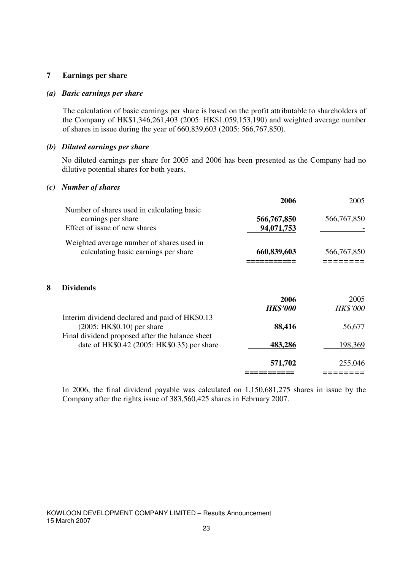#### **7 Earnings per share**

#### *(a) Basic earnings per share*

The calculation of basic earnings per share is based on the profit attributable to shareholders of the Company of HK\$1,346,261,403 (2005: HK\$1,059,153,190) and weighted average number of shares in issue during the year of 660,839,603 (2005: 566,767,850).

#### *(b) Diluted earnings per share*

 No diluted earnings per share for 2005 and 2006 has been presented as the Company had no dilutive potential shares for both years.

#### *(c) Number of shares*

|                                            | 2006        | 2005        |
|--------------------------------------------|-------------|-------------|
| Number of shares used in calculating basic |             |             |
| earnings per share                         | 566,767,850 | 566,767,850 |
| Effect of issue of new shares              | 94,071,753  |             |
| Weighted average number of shares used in  |             |             |
| calculating basic earnings per share       | 660,839,603 | 566,767,850 |
|                                            |             |             |

#### **8 Dividends**

|                                                                                                                                                                                 | 2006<br><b>HK\$'000</b> | 2005<br>HK\$'000 |
|---------------------------------------------------------------------------------------------------------------------------------------------------------------------------------|-------------------------|------------------|
| Interim dividend declared and paid of HK\$0.13<br>$(2005: HK$0.10)$ per share<br>Final dividend proposed after the balance sheet<br>date of HK\$0.42 (2005: HK\$0.35) per share | 88,416                  | 56,677           |
|                                                                                                                                                                                 | 483,286                 | 198,369          |
|                                                                                                                                                                                 | 571,702                 | 255,046          |
|                                                                                                                                                                                 |                         |                  |

In 2006, the final dividend payable was calculated on 1,150,681,275 shares in issue by the Company after the rights issue of 383,560,425 shares in February 2007.